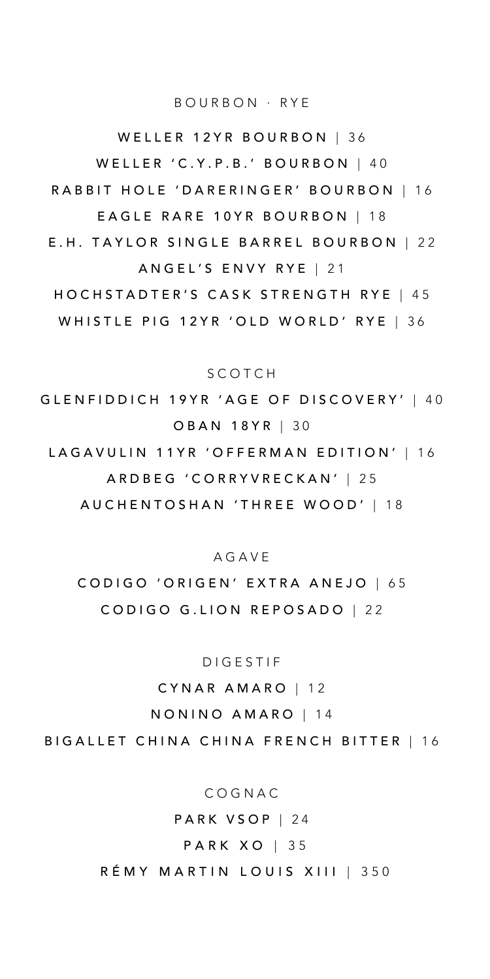PARK VSOP | 24 PARK XO | 35 RÉMY MARTIN LOUIS XIII | 350

COGNAC

BIGALLET CHINA CHINA FRENCH BITTER | 16

NONINO AMARO | 14

CYNAR AMARO | 12

DIGESTIF

CODIGO 'ORIGEN' EXTRA ANEJO | 65 CODIGO G.LION REPOSADO | 22

AGAVE

LAGAVULIN 11YR 'OFFERMAN EDITION' | 16 ARDBEG 'CORRYVRECKAN' | 25 AUCHENTOSHAN 'THREE WOOD' | 18

SCOTCH GLENFIDDICH 19YR 'AGE OF DISCOVERY' | 40 OBAN 18YR | 30

ANGEL'S ENVY RYE | 21 HOCHSTADTER'S CASK STRENGTH RYE | 45 WHISTLE PIG 12YR 'OLD WORLD' RYE | 36

EAGLE RARE 10YR BOURBON | 18 E.H. TAYLOR SINGLE BARREL BOURBON | 22

WELLER 'C.Y.P.B.' BOURBON | 40 RABBIT HOLE 'DARERINGER' BOURBON | 16

WELLER 12YR BOURBON | 36

BOURBON · RYE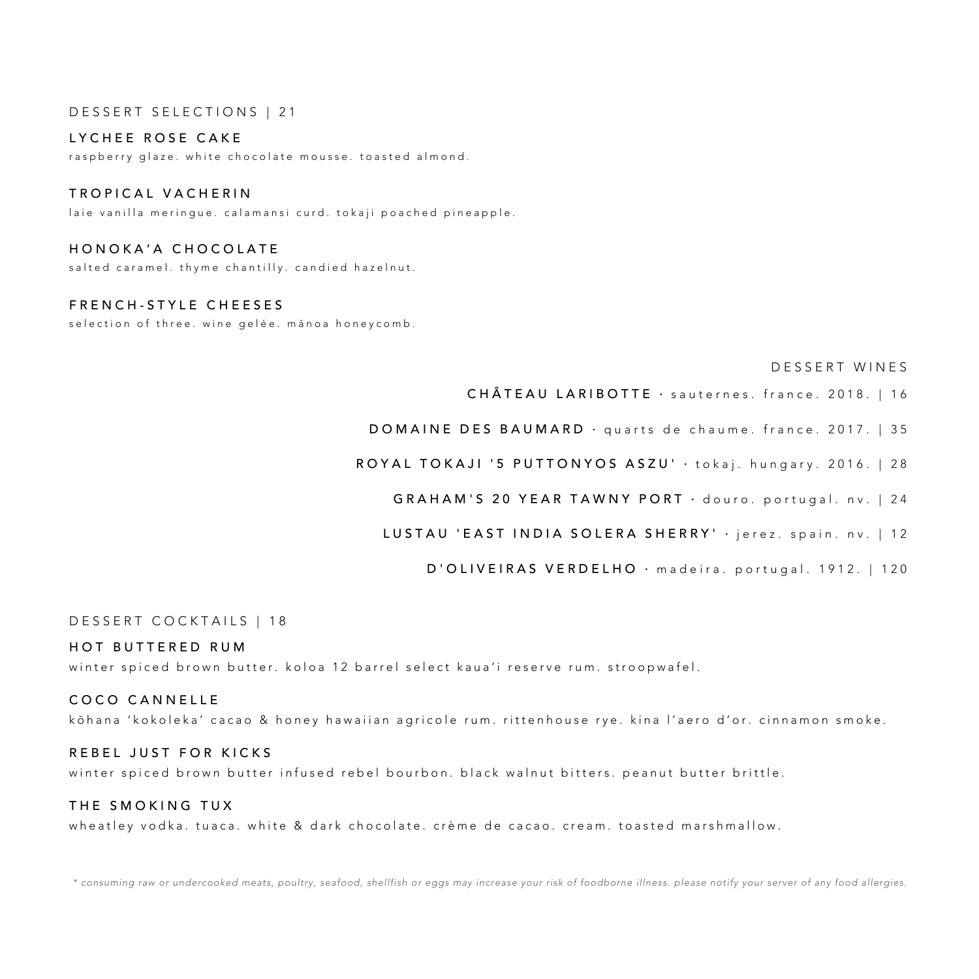## DESSERT SELECTIONS | 21

### LYCHEE ROSE CAKE

raspberry glaze. white chocolate mousse. toasted almond .

## TROPICAL VACHERIN

laie vanilla meringue. calamansi curd. tokaji poached pineapple .

## HONOKA'A CHOCOLATE

salted caramel. thyme chantilly. candied hazelnut.

# FRENCH - STYLE CHEESE S

selection of three. wine gelée. manoa honeycomb.

#### DESSERT WINES

CHÂTEAU LARIBOTTE · sauternes. france. 2018. | 16

DOMAINE DES BAUMARD · quarts de chaume. france. 2017. | 35

ROYAL TOKAJI '5 PUTTONYOS ASZU' · tokaj. hungary. 2016. | 28

GRAHAM'S 20 YEAR TAWNY PORT · douro. portugal. nv. | 24

## LUSTAU 'EAST INDIA SOLERA SHERRY' · jerez. spain. nv. | 12

D'OLIVEIRAS VERDELHO · madeira. portugal. 1912. | 120

### DESSERT COCKTAILS | 18

### HOT BUTTERED RUM

winter spiced brown butter. koloa 12 barrel select kaua'i reserve rum. stroopwafel .

### COCO CANNELLE

k ō hana ' kokoleka ' cacao & honey hawaiian agricole rum. rittenhouse rye. kina l'aero d'or. cinnamon smoke.

#### REBEL JUST FOR KICKS

winter spiced brown butter infused rebel bourbon. black walnut bitters. peanut butter brittle.

### THE SMOKING TUX

wheatley vodka. tuaca. white & dark chocolate. crème de cacao. cream. toasted marshmallow.

*\* consuming raw or undercooked meats, poultry, seafood, shellfish or eggs may increase your risk of foodborne illness. please notify your server of any food allergies.*